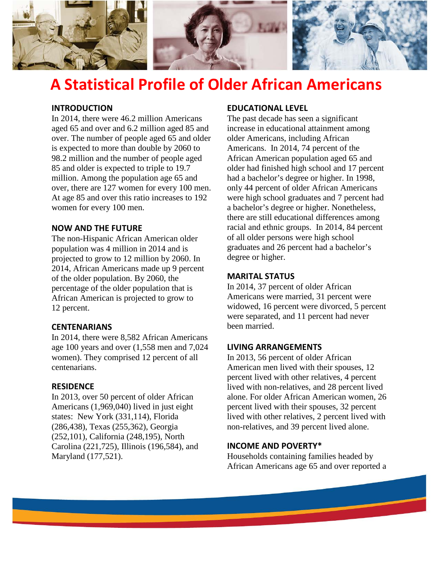

# **A Statistical Profile of Older African Americans**

#### **INTRODUCTION**

In 2014, there were 46.2 million Americans aged 65 and over and 6.2 million aged 85 and over. The number of people aged 65 and older is expected to more than double by 2060 to 98.2 million and the number of people aged 85 and older is expected to triple to 19.7 million. Among the population age 65 and over, there are 127 women for every 100 men. At age 85 and over this ratio increases to 192 women for every 100 men.

#### **NOW AND THE FUTURE**

The non-Hispanic African American older population was 4 million in 2014 and is projected to grow to 12 million by 2060. In 2014, African Americans made up 9 percent of the older population. By 2060, the percentage of the older population that is African American is projected to grow to 12 percent.

#### **CENTENARIANS**

In 2014, there were 8,582 African Americans age 100 years and over (1,558 men and 7,024 women). They comprised 12 percent of all centenarians.

#### **RESIDENCE**

In 2013, over 50 percent of older African Americans (1,969,040) lived in just eight states: New York (331,114), Florida (286,438), Texas (255,362), Georgia (252,101), California (248,195), North Carolina (221,725), Illinois (196,584), and Maryland (177,521).

### **EDUCATIONAL LEVEL**

The past decade has seen a significant increase in educational attainment among older Americans, including African Americans. In 2014, 74 percent of the African American population aged 65 and older had finished high school and 17 percent had a bachelor's degree or higher. In 1998, only 44 percent of older African Americans were high school graduates and 7 percent had a bachelor's degree or higher. Nonetheless, there are still educational differences among racial and ethnic groups. In 2014, 84 percent of all older persons were high school graduates and 26 percent had a bachelor's degree or higher.

#### **MARITAL STATUS**

In 2014, 37 percent of older African Americans were married, 31 percent were widowed, 16 percent were divorced, 5 percent were separated, and 11 percent had never been married.

#### **LIVING ARRANGEMENTS**

In 2013, 56 percent of older African American men lived with their spouses, 12 percent lived with other relatives, 4 percent lived with non-relatives, and 28 percent lived alone. For older African American women, 26 percent lived with their spouses, 32 percent lived with other relatives, 2 percent lived with non-relatives, and 39 percent lived alone.

#### **INCOME AND POVERTY\***

Households containing families headed by African Americans age 65 and over reported a